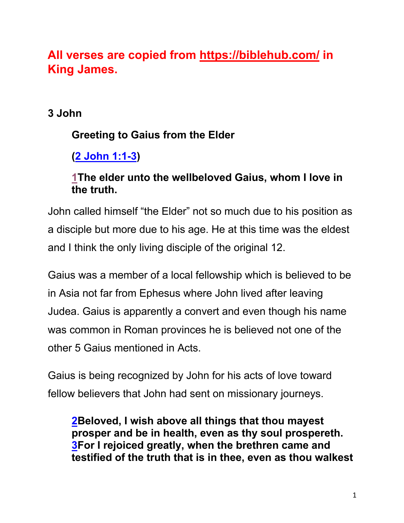# **All verses are copied from https://biblehub.com/ in King James.**

### **3 John**

## **Greeting to Gaius from the Elder**

**(2 John 1:1-3)**

### **1The elder unto the wellbeloved Gaius, whom I love in the truth.**

John called himself "the Elder" not so much due to his position as a disciple but more due to his age. He at this time was the eldest and I think the only living disciple of the original 12.

Gaius was a member of a local fellowship which is believed to be in Asia not far from Ephesus where John lived after leaving Judea. Gaius is apparently a convert and even though his name was common in Roman provinces he is believed not one of the other 5 Gaius mentioned in Acts.

Gaius is being recognized by John for his acts of love toward fellow believers that John had sent on missionary journeys.

**2Beloved, I wish above all things that thou mayest prosper and be in health, even as thy soul prospereth. 3For I rejoiced greatly, when the brethren came and testified of the truth that is in thee, even as thou walkest**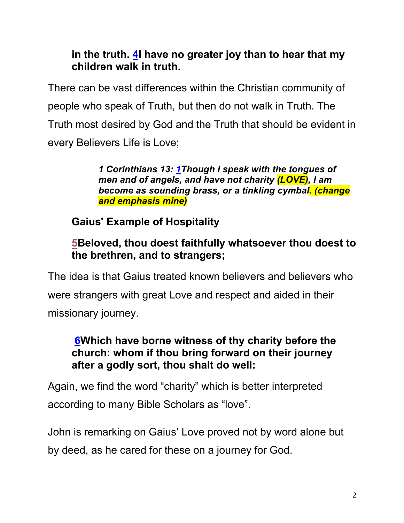### **in the truth. 4I have no greater joy than to hear that my children walk in truth.**

There can be vast differences within the Christian community of people who speak of Truth, but then do not walk in Truth. The Truth most desired by God and the Truth that should be evident in every Believers Life is Love;

> *1 Corinthians 13: 1Though I speak with the tongues of men and of angels, and have not charity (LOVE), I am become as sounding brass, or a tinkling cymbal. (change and emphasis mine)*

**Gaius' Example of Hospitality**

### **5Beloved, thou doest faithfully whatsoever thou doest to the brethren, and to strangers;**

The idea is that Gaius treated known believers and believers who were strangers with great Love and respect and aided in their missionary journey.

#### **6Which have borne witness of thy charity before the church: whom if thou bring forward on their journey after a godly sort, thou shalt do well:**

Again, we find the word "charity" which is better interpreted according to many Bible Scholars as "love".

John is remarking on Gaius' Love proved not by word alone but by deed, as he cared for these on a journey for God.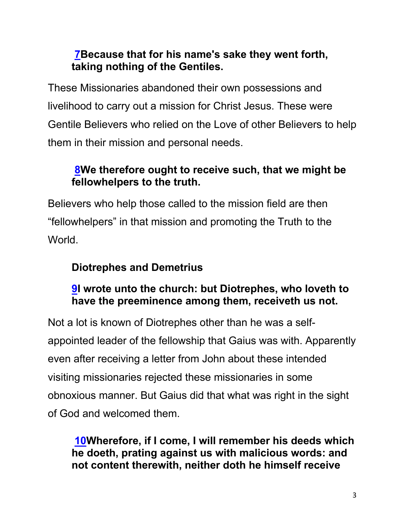### **7Because that for his name's sake they went forth, taking nothing of the Gentiles.**

These Missionaries abandoned their own possessions and livelihood to carry out a mission for Christ Jesus. These were Gentile Believers who relied on the Love of other Believers to help them in their mission and personal needs.

### **8We therefore ought to receive such, that we might be fellowhelpers to the truth.**

Believers who help those called to the mission field are then "fellowhelpers" in that mission and promoting the Truth to the World.

### **Diotrephes and Demetrius**

### **9I wrote unto the church: but Diotrephes, who loveth to have the preeminence among them, receiveth us not.**

Not a lot is known of Diotrephes other than he was a selfappointed leader of the fellowship that Gaius was with. Apparently even after receiving a letter from John about these intended visiting missionaries rejected these missionaries in some obnoxious manner. But Gaius did that what was right in the sight of God and welcomed them.

**10Wherefore, if I come, I will remember his deeds which he doeth, prating against us with malicious words: and not content therewith, neither doth he himself receive**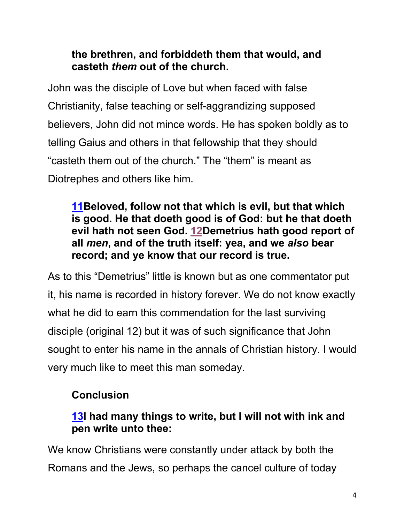### **the brethren, and forbiddeth them that would, and casteth** *them* **out of the church.**

John was the disciple of Love but when faced with false Christianity, false teaching or self-aggrandizing supposed believers, John did not mince words. He has spoken boldly as to telling Gaius and others in that fellowship that they should "casteth them out of the church." The "them" is meant as Diotrephes and others like him.

#### **11Beloved, follow not that which is evil, but that which is good. He that doeth good is of God: but he that doeth evil hath not seen God. 12Demetrius hath good report of all** *men***, and of the truth itself: yea, and we** *also* **bear record; and ye know that our record is true.**

As to this "Demetrius" little is known but as one commentator put it, his name is recorded in history forever. We do not know exactly what he did to earn this commendation for the last surviving disciple (original 12) but it was of such significance that John sought to enter his name in the annals of Christian history. I would very much like to meet this man someday.

### **Conclusion**

### **13I had many things to write, but I will not with ink and pen write unto thee:**

We know Christians were constantly under attack by both the Romans and the Jews, so perhaps the cancel culture of today